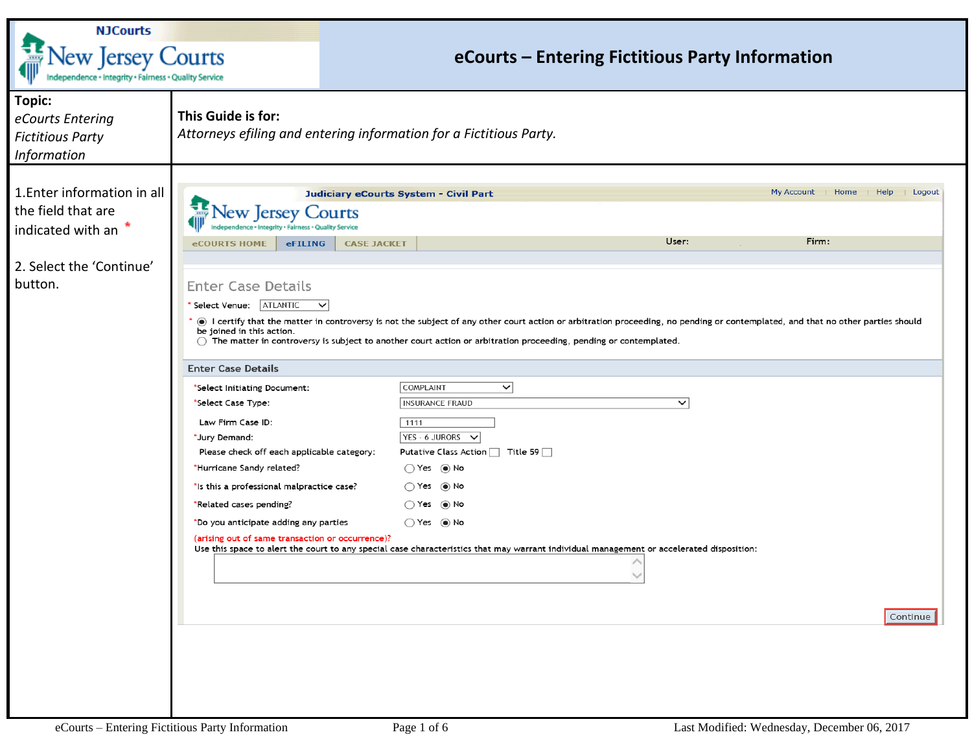| <b>NJCourts</b><br>ew Jersey Courts<br>Independence + Integrity + Fairness + Quality Service |                                                                                                                                                                                                                                                                                                          | eCourts - Entering Fictitious Party Information                                                                                                                                                                                                                                                                                                                                                            |                                                          |  |  |  |
|----------------------------------------------------------------------------------------------|----------------------------------------------------------------------------------------------------------------------------------------------------------------------------------------------------------------------------------------------------------------------------------------------------------|------------------------------------------------------------------------------------------------------------------------------------------------------------------------------------------------------------------------------------------------------------------------------------------------------------------------------------------------------------------------------------------------------------|----------------------------------------------------------|--|--|--|
| <b>Topic:</b><br>eCourts Entering<br><b>Fictitious Party</b><br><b>Information</b>           | This Guide is for:                                                                                                                                                                                                                                                                                       | Attorneys efiling and entering information for a Fictitious Party.                                                                                                                                                                                                                                                                                                                                         |                                                          |  |  |  |
| 1. Enter information in all<br>the field that are<br>indicated with an                       | Courts<br>ew Jersey<br>ty · Fairness · Quality Service<br>eFILING<br><b>eCOURTS HOME</b>                                                                                                                                                                                                                 | <b>Judiciary eCourts System - Civil Part</b><br><b>CASE JACKET</b>                                                                                                                                                                                                                                                                                                                                         | Help<br>  Logout<br>My Account<br>Home<br>User:<br>Firm: |  |  |  |
| 2. Select the 'Continue'<br>button.                                                          | <b>Enter Case Details</b><br>Select Venue:   ATLANTIC<br>$\checkmark$<br>be joined in this action.                                                                                                                                                                                                       | ◉ I certify that the matter in controversy is not the subject of any other court action or arbitration proceeding, no pending or contemplated, and that no other parties should<br>$\bigcirc$ The matter in controversy is subject to another court action or arbitration proceeding, pending or contemplated.                                                                                             |                                                          |  |  |  |
|                                                                                              | <b>Enter Case Details</b><br>*Select Initiating Document:                                                                                                                                                                                                                                                | COMPLAINT<br>$\checkmark$                                                                                                                                                                                                                                                                                                                                                                                  |                                                          |  |  |  |
|                                                                                              | *Select Case Type:<br>Law Firm Case ID:<br>*Jury Demand:<br>Please check off each applicable category:<br>*Hurricane Sandy related?<br>*Is this a professional malpractice case?<br>*Related cases pending?<br>*Do you anticipate adding any parties<br>(arising out of same transaction or occurrence)? | <b>INSURANCE FRAUD</b><br>1111<br>$YES - 6 JURORS \rightarrow$<br>Putative Class Action $\Box$ Title 59 $\Box$<br>$\bigcirc$ Yes $\circledcirc$ No<br>$\bigcirc$ Yes $\circledcirc$ No<br>$\bigcirc$ Yes $\circledcirc$ No<br>$\bigcirc$ Yes $\circledcirc$ No<br>Use this space to alert the court to any special case characteristics that may warrant individual management or accelerated disposition: | $\checkmark$<br>Continue                                 |  |  |  |
| eCourts - Entering Fictitious Party Information                                              |                                                                                                                                                                                                                                                                                                          | Page 1 of 6                                                                                                                                                                                                                                                                                                                                                                                                | Last Modified: Wednesday, December 06, 2017              |  |  |  |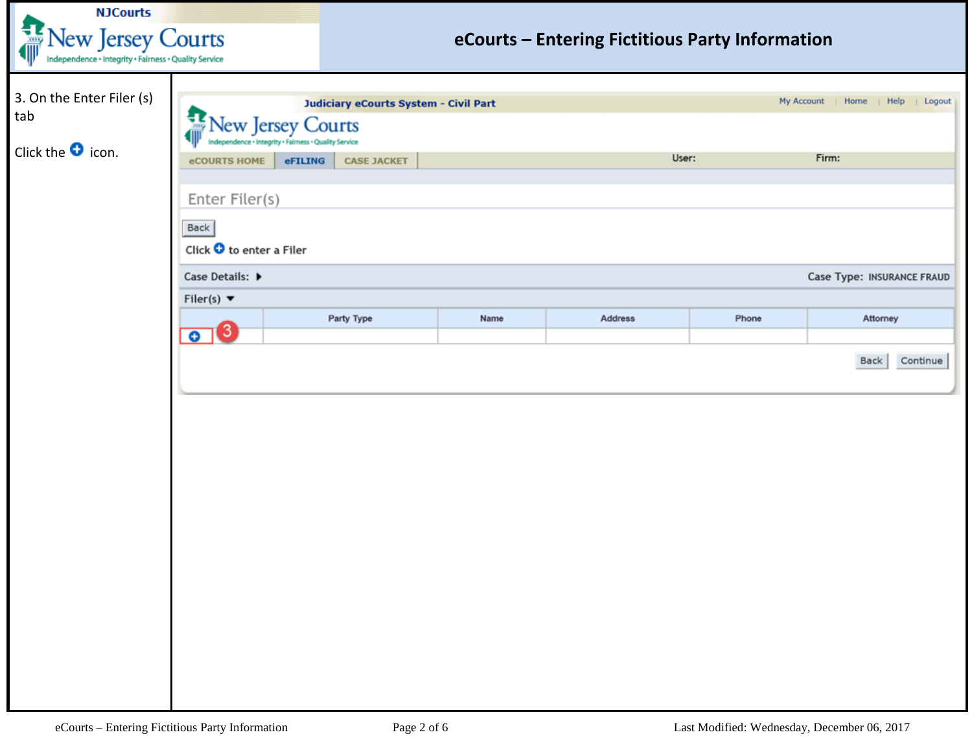| <b>NJCourts</b>                                                                             |                                                                             |                                       |      |                                                 |       |                                   |
|---------------------------------------------------------------------------------------------|-----------------------------------------------------------------------------|---------------------------------------|------|-------------------------------------------------|-------|-----------------------------------|
| $\frac{1}{2}$<br>New Jersey Courts<br>Independence + Integrity + Fairness + Quality Service |                                                                             |                                       |      | eCourts - Entering Fictitious Party Information |       |                                   |
| 3. On the Enter Filer (s)<br>tab                                                            | a<br><b>Jew Jersey Courts</b>                                               | Judiciary eCourts System - Civil Part |      |                                                 |       | My Account   Home   Help   Logout |
| Click the $\bullet$ icon.                                                                   | endence · Integrity · Fairness · Quality Service<br>eFILING<br>eCOURTS HOME | <b>CASE JACKET</b>                    |      | User:                                           |       | Firm:                             |
|                                                                                             | Enter Filer(s)<br>Back                                                      |                                       |      |                                                 |       |                                   |
|                                                                                             | Click O to enter a Filer<br>Case Details: ▶                                 |                                       |      |                                                 |       | <b>Case Type: INSURANCE FRAUD</b> |
|                                                                                             | Filer(s) $\blacktriangledown$<br>8<br>$\bullet$                             | Party Type                            | Name | Address                                         | Phone | Attorney                          |
|                                                                                             |                                                                             |                                       |      |                                                 |       | Continue<br>Back                  |
|                                                                                             |                                                                             |                                       |      |                                                 |       |                                   |
|                                                                                             |                                                                             |                                       |      |                                                 |       |                                   |
|                                                                                             |                                                                             |                                       |      |                                                 |       |                                   |
|                                                                                             |                                                                             |                                       |      |                                                 |       |                                   |
|                                                                                             |                                                                             |                                       |      |                                                 |       |                                   |
|                                                                                             |                                                                             |                                       |      |                                                 |       |                                   |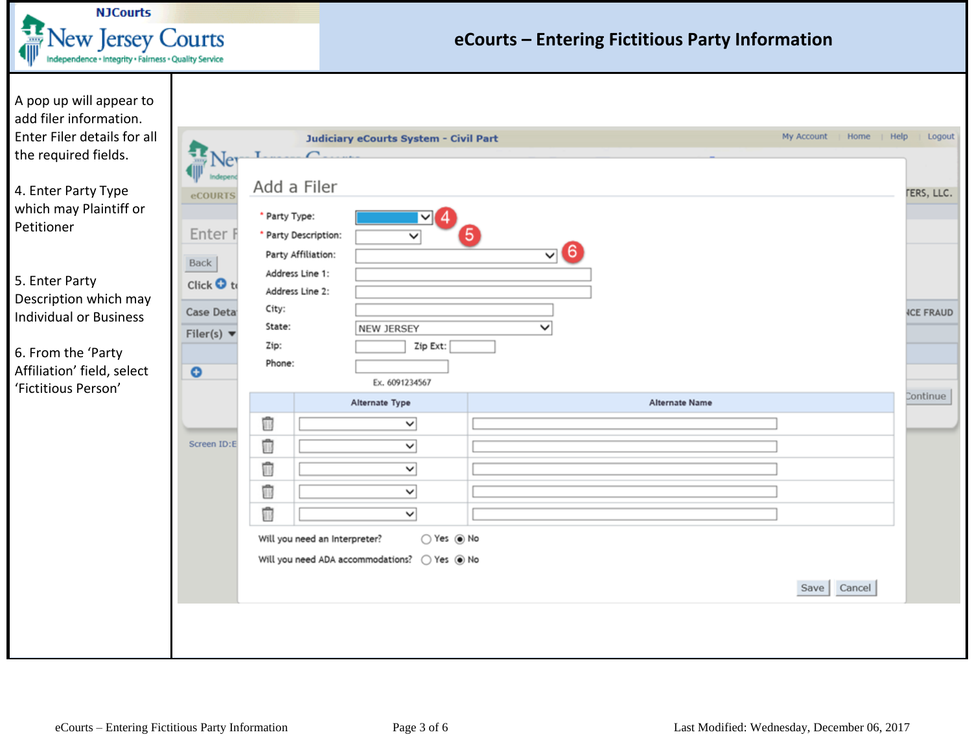

## **eCourts – Entering Fictitious Party Information**

| A pop up will appear to<br>add filer information.<br>Enter Filer details for all |                                   |                                                                                               |                                                 |                |                | My Account<br>Home<br>  Help | Logout            |
|----------------------------------------------------------------------------------|-----------------------------------|-----------------------------------------------------------------------------------------------|-------------------------------------------------|----------------|----------------|------------------------------|-------------------|
| the required fields.                                                             |                                   |                                                                                               | <b>Judiciary eCourts System - Civil Part</b>    |                |                |                              |                   |
| 4. Enter Party Type<br>which may Plaintiff or<br>Petitioner                      | <b>eCOURTS</b><br>Enter I<br>Back | Add a Filer<br>* Party Type:<br>* Party Description:<br>Party Affiliation:<br>Address Line 1: | Ⅵ<br>$\checkmark$                               | $\mathbf{v}$ 6 |                |                              | <b>TERS, LLC.</b> |
| 5. Enter Party<br>Description which may                                          | Click <b>O</b> to                 | Address Line 2:                                                                               |                                                 |                |                |                              |                   |
| <b>Individual or Business</b>                                                    | Case Deta                         | City:                                                                                         |                                                 |                |                |                              | <b>ICE FRAUD</b>  |
|                                                                                  | Filer(s) $\blacktriangledown$     | State:                                                                                        | NEW JERSEY                                      | v              |                |                              |                   |
| 6. From the 'Party                                                               |                                   | Zip:<br>Phone:                                                                                | Zip Ext:                                        |                |                |                              |                   |
| Affiliation' field, select                                                       | $\bullet$                         |                                                                                               | Ex. 6091234567                                  |                |                |                              |                   |
| 'Fictitious Person'                                                              |                                   |                                                                                               | Alternate Type                                  |                | Alternate Name |                              | Continue          |
|                                                                                  |                                   | Ū                                                                                             | $\check{~}$                                     |                |                |                              |                   |
|                                                                                  | Screen ID:E                       | Û                                                                                             | $\check{~}$                                     |                |                |                              |                   |
|                                                                                  |                                   | Û                                                                                             | $\overline{\mathsf{v}}$                         |                |                |                              |                   |
|                                                                                  |                                   | Ū                                                                                             | $\checkmark$                                    |                |                |                              |                   |
|                                                                                  |                                   |                                                                                               | $\overline{\mathsf{v}}$                         |                |                |                              |                   |
|                                                                                  |                                   | Û                                                                                             |                                                 |                |                |                              |                   |
|                                                                                  |                                   | Will you need an Interpreter?                                                                 | ○ Yes ◉ No                                      |                |                |                              |                   |
|                                                                                  |                                   |                                                                                               | Will you need ADA accommodations?<br>○ Yes ◉ No |                |                |                              |                   |
|                                                                                  |                                   |                                                                                               |                                                 |                |                | Cancel<br>Save               |                   |
|                                                                                  |                                   |                                                                                               |                                                 |                |                |                              |                   |
|                                                                                  |                                   |                                                                                               |                                                 |                |                |                              |                   |
|                                                                                  |                                   |                                                                                               |                                                 |                |                |                              |                   |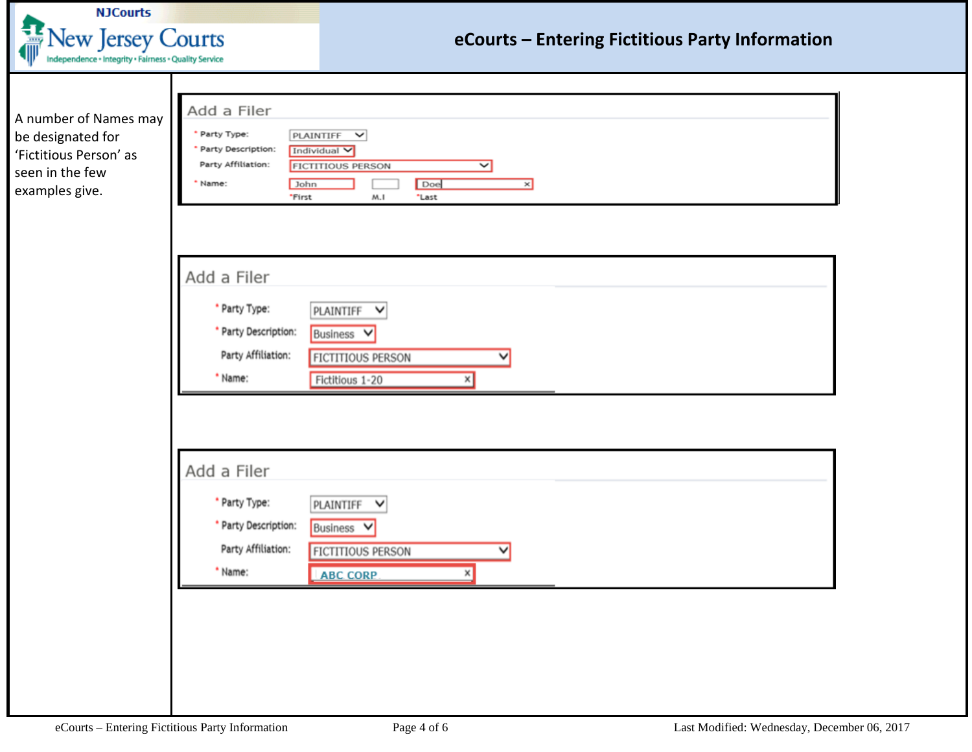| <b>NJCourts</b><br>New Jersey Courts<br>Independence + Integrity + Fairness + Quality Service             |                                                                                                     | eCourts - Entering Fictitious Party Information                                                      |  |
|-----------------------------------------------------------------------------------------------------------|-----------------------------------------------------------------------------------------------------|------------------------------------------------------------------------------------------------------|--|
| A number of Names may<br>be designated for<br>'Fictitious Person' as<br>seen in the few<br>examples give. | Add a Filer<br>* Party Type:<br>Party Description:<br>Party Affiliation:<br>Name:<br>John<br>*First | PLAINTIFF V<br>Individual V<br><b>FICTITIOUS PERSON</b><br>◡<br>Doe<br>$\times$<br>M.I<br>*Last      |  |
|                                                                                                           | Add a Filer<br>* Party Type:<br>* Party Description:<br>Party Affiliation:<br>* Name:               | PLAINTIFF V<br>Business V<br><b>FICTITIOUS PERSON</b><br>Fictitious 1-20                             |  |
|                                                                                                           | Add a Filer<br>* Party Type:<br>* Party Description:<br>Party Affiliation:<br>* Name:               | PLAINTIFF<br>$\checkmark$<br>Business V<br><b>FICTITIOUS PERSON</b><br>$\checkmark$<br>ABC CORP<br>x |  |
|                                                                                                           | eCourts - Entering Fictitious Party Information                                                     | Last Modified: Wednesday, December 06, 2017<br>Page 4 of 6                                           |  |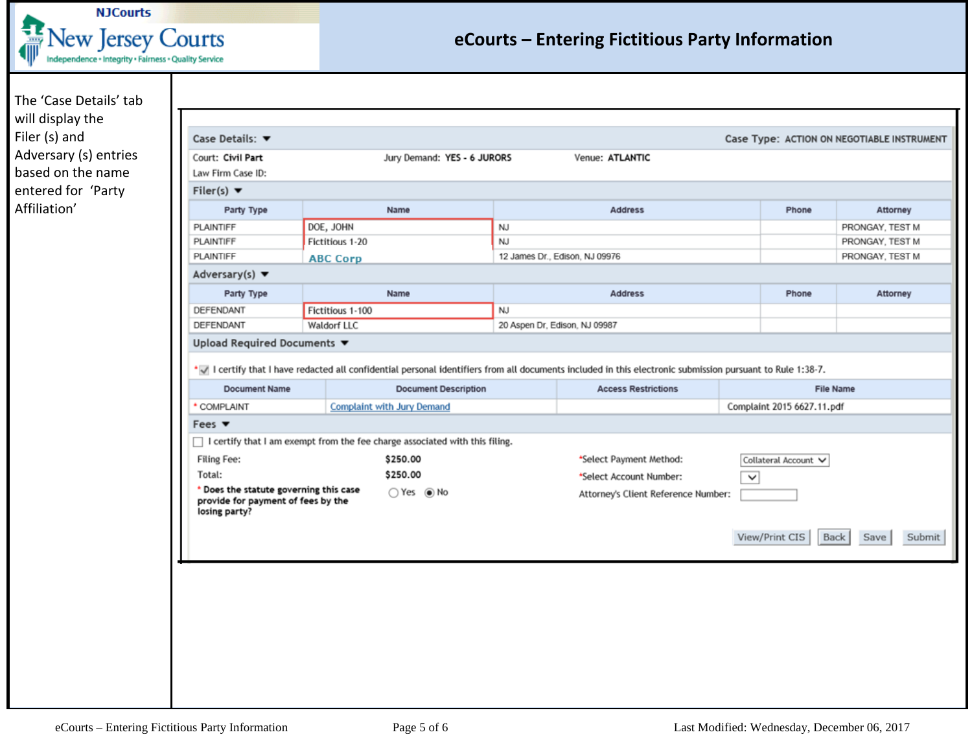

## **eCourts – Entering Fictitious Party Information**

The 'Case Details' tab will display the Filer (s) and Adversary (s) entries based on the name entered for 'Party Affiliation'

| Court: Civil Part<br>Jury Demand: YES - 6 JURORS<br>Venue: ATLANTIC<br>Law Firm Case ID:<br>Filer(s) $\blacktriangledown$<br>Party Type<br>Name<br><b>Address</b><br>Phone<br>Attorney<br>DOE, JOHN<br>PLAINTIFF<br><b>NJ</b><br>PRONGAY, TEST M<br><b>NJ</b><br>PLAINTIFF<br>Fictitious 1-20<br>PRONGAY, TEST M<br>PLAINTIFF<br>12 James Dr., Edison, NJ 09976<br>PRONGAY, TEST M<br><b>ABC Corp</b><br>Adversary(s) $\blacktriangledown$<br>Party Type<br>Name<br><b>Address</b><br>Phone<br>Attorney<br>DEFENDANT<br>Fictitious 1-100<br>NJ<br>DEFENDANT<br>Waldorf LLC<br>20 Aspen Dr, Edison, NJ 09987<br>Upload Required Documents ▼<br>* I certify that I have redacted all confidential personal identifiers from all documents included in this electronic submission pursuant to Rule 1:38-7.<br><b>Document Name</b><br><b>Document Description</b><br><b>Access Restrictions</b><br><b>File Name</b><br>* COMPLAINT<br><b>Complaint with Jury Demand</b><br>Complaint 2015 6627.11.pdf<br>Fees $\blacktriangledown$<br>□ I certify that I am exempt from the fee charge associated with this filing.<br>Filing Fee:<br>\$250.00<br>*Select Payment Method:<br>Collateral Account V<br>\$250.00<br>Total:<br>*Select Account Number:<br>$\check{~}$<br>* Does the statute governing this case<br>$\bigcirc$ Yes $\circledbullet$ No<br>Attorney's Client Reference Number:<br>provide for payment of fees by the<br>losing party?<br>View/Print CIS<br>Back<br>Save |  |  |        |
|--------------------------------------------------------------------------------------------------------------------------------------------------------------------------------------------------------------------------------------------------------------------------------------------------------------------------------------------------------------------------------------------------------------------------------------------------------------------------------------------------------------------------------------------------------------------------------------------------------------------------------------------------------------------------------------------------------------------------------------------------------------------------------------------------------------------------------------------------------------------------------------------------------------------------------------------------------------------------------------------------------------------------------------------------------------------------------------------------------------------------------------------------------------------------------------------------------------------------------------------------------------------------------------------------------------------------------------------------------------------------------------------------------------------------------------------------------------------------------|--|--|--------|
|                                                                                                                                                                                                                                                                                                                                                                                                                                                                                                                                                                                                                                                                                                                                                                                                                                                                                                                                                                                                                                                                                                                                                                                                                                                                                                                                                                                                                                                                                |  |  |        |
|                                                                                                                                                                                                                                                                                                                                                                                                                                                                                                                                                                                                                                                                                                                                                                                                                                                                                                                                                                                                                                                                                                                                                                                                                                                                                                                                                                                                                                                                                |  |  |        |
|                                                                                                                                                                                                                                                                                                                                                                                                                                                                                                                                                                                                                                                                                                                                                                                                                                                                                                                                                                                                                                                                                                                                                                                                                                                                                                                                                                                                                                                                                |  |  |        |
|                                                                                                                                                                                                                                                                                                                                                                                                                                                                                                                                                                                                                                                                                                                                                                                                                                                                                                                                                                                                                                                                                                                                                                                                                                                                                                                                                                                                                                                                                |  |  |        |
|                                                                                                                                                                                                                                                                                                                                                                                                                                                                                                                                                                                                                                                                                                                                                                                                                                                                                                                                                                                                                                                                                                                                                                                                                                                                                                                                                                                                                                                                                |  |  |        |
|                                                                                                                                                                                                                                                                                                                                                                                                                                                                                                                                                                                                                                                                                                                                                                                                                                                                                                                                                                                                                                                                                                                                                                                                                                                                                                                                                                                                                                                                                |  |  |        |
|                                                                                                                                                                                                                                                                                                                                                                                                                                                                                                                                                                                                                                                                                                                                                                                                                                                                                                                                                                                                                                                                                                                                                                                                                                                                                                                                                                                                                                                                                |  |  |        |
|                                                                                                                                                                                                                                                                                                                                                                                                                                                                                                                                                                                                                                                                                                                                                                                                                                                                                                                                                                                                                                                                                                                                                                                                                                                                                                                                                                                                                                                                                |  |  |        |
|                                                                                                                                                                                                                                                                                                                                                                                                                                                                                                                                                                                                                                                                                                                                                                                                                                                                                                                                                                                                                                                                                                                                                                                                                                                                                                                                                                                                                                                                                |  |  |        |
|                                                                                                                                                                                                                                                                                                                                                                                                                                                                                                                                                                                                                                                                                                                                                                                                                                                                                                                                                                                                                                                                                                                                                                                                                                                                                                                                                                                                                                                                                |  |  |        |
|                                                                                                                                                                                                                                                                                                                                                                                                                                                                                                                                                                                                                                                                                                                                                                                                                                                                                                                                                                                                                                                                                                                                                                                                                                                                                                                                                                                                                                                                                |  |  |        |
|                                                                                                                                                                                                                                                                                                                                                                                                                                                                                                                                                                                                                                                                                                                                                                                                                                                                                                                                                                                                                                                                                                                                                                                                                                                                                                                                                                                                                                                                                |  |  |        |
|                                                                                                                                                                                                                                                                                                                                                                                                                                                                                                                                                                                                                                                                                                                                                                                                                                                                                                                                                                                                                                                                                                                                                                                                                                                                                                                                                                                                                                                                                |  |  |        |
|                                                                                                                                                                                                                                                                                                                                                                                                                                                                                                                                                                                                                                                                                                                                                                                                                                                                                                                                                                                                                                                                                                                                                                                                                                                                                                                                                                                                                                                                                |  |  |        |
|                                                                                                                                                                                                                                                                                                                                                                                                                                                                                                                                                                                                                                                                                                                                                                                                                                                                                                                                                                                                                                                                                                                                                                                                                                                                                                                                                                                                                                                                                |  |  |        |
|                                                                                                                                                                                                                                                                                                                                                                                                                                                                                                                                                                                                                                                                                                                                                                                                                                                                                                                                                                                                                                                                                                                                                                                                                                                                                                                                                                                                                                                                                |  |  |        |
|                                                                                                                                                                                                                                                                                                                                                                                                                                                                                                                                                                                                                                                                                                                                                                                                                                                                                                                                                                                                                                                                                                                                                                                                                                                                                                                                                                                                                                                                                |  |  |        |
|                                                                                                                                                                                                                                                                                                                                                                                                                                                                                                                                                                                                                                                                                                                                                                                                                                                                                                                                                                                                                                                                                                                                                                                                                                                                                                                                                                                                                                                                                |  |  |        |
|                                                                                                                                                                                                                                                                                                                                                                                                                                                                                                                                                                                                                                                                                                                                                                                                                                                                                                                                                                                                                                                                                                                                                                                                                                                                                                                                                                                                                                                                                |  |  |        |
|                                                                                                                                                                                                                                                                                                                                                                                                                                                                                                                                                                                                                                                                                                                                                                                                                                                                                                                                                                                                                                                                                                                                                                                                                                                                                                                                                                                                                                                                                |  |  |        |
|                                                                                                                                                                                                                                                                                                                                                                                                                                                                                                                                                                                                                                                                                                                                                                                                                                                                                                                                                                                                                                                                                                                                                                                                                                                                                                                                                                                                                                                                                |  |  |        |
|                                                                                                                                                                                                                                                                                                                                                                                                                                                                                                                                                                                                                                                                                                                                                                                                                                                                                                                                                                                                                                                                                                                                                                                                                                                                                                                                                                                                                                                                                |  |  | Submit |